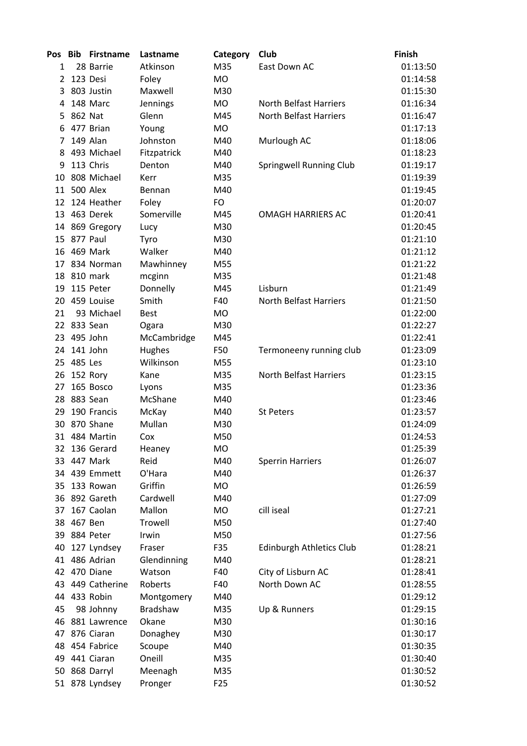| <b>Pos</b>     | <b>Bib</b>  | <b>Firstname</b>          | Lastname              | Category        | Club                                | <b>Finish</b> |
|----------------|-------------|---------------------------|-----------------------|-----------------|-------------------------------------|---------------|
| 1              |             | 28 Barrie                 | Atkinson              | M35             | East Down AC                        | 01:13:50      |
| $\overline{2}$ |             | 123 Desi                  | Foley                 | <b>MO</b>       |                                     | 01:14:58      |
| 3              |             | 803 Justin                | Maxwell               | M30             |                                     | 01:15:30      |
| 4              |             | 148 Marc                  | Jennings              | MO              | <b>North Belfast Harriers</b>       | 01:16:34      |
| 5              | 862 Nat     |                           | Glenn                 | M45             | <b>North Belfast Harriers</b>       | 01:16:47      |
| 6              |             | 477 Brian                 | Young                 | <b>MO</b>       |                                     | 01:17:13      |
| 7              |             | 149 Alan                  | Johnston              | M40             | Murlough AC                         | 01:18:06      |
| 8              |             | 493 Michael               | Fitzpatrick           | M40             |                                     | 01:18:23      |
| 9              |             | 113 Chris                 | Denton                | M40             | Springwell Running Club             | 01:19:17      |
| 10             |             | 808 Michael               | Kerr                  | M35             |                                     | 01:19:39      |
| 11             |             | 500 Alex                  | Bennan                | M40             |                                     | 01:19:45      |
|                |             | 12 124 Heather            | Foley                 | FO              |                                     | 01:20:07      |
|                |             | 13 463 Derek              | Somerville            | M45             | <b>OMAGH HARRIERS AC</b>            | 01:20:41      |
|                |             | 14 869 Gregory            | Lucy                  | M30             |                                     | 01:20:45      |
|                | 15 877 Paul |                           | Tyro                  | M30             |                                     | 01:21:10      |
| 16             |             | 469 Mark                  | Walker                | M40             |                                     | 01:21:12      |
| 17             |             | 834 Norman                | Mawhinney             | M55             |                                     | 01:21:22      |
|                |             | 18 810 mark               | mcginn                | M35             |                                     | 01:21:48      |
| 19             |             | 115 Peter                 | Donnelly              | M45             | Lisburn                             | 01:21:49      |
|                |             | 20 459 Louise             | Smith                 | F40             | <b>North Belfast Harriers</b>       | 01:21:50      |
| 21             |             | 93 Michael                | <b>Best</b>           | MO              |                                     | 01:22:00      |
|                |             | 22 833 Sean               | Ogara                 | M30             |                                     | 01:22:27      |
| 23             |             | 495 John                  | McCambridge           | M45             |                                     | 01:22:41      |
| 24             |             | 141 John                  | Hughes                | F50             | Termoneeny running club             | 01:23:09      |
|                | 25 485 Les  |                           | Wilkinson             | M55             |                                     | 01:23:10      |
| 26             |             | 152 Rory                  | Kane                  | M35             | North Belfast Harriers              | 01:23:15      |
| 27             |             | 165 Bosco                 | Lyons                 | M35             |                                     | 01:23:36      |
|                |             | 28 883 Sean               | McShane               | M40             |                                     | 01:23:46      |
| 29             |             | 190 Francis               | McKay                 | M40             | <b>St Peters</b>                    | 01:23:57      |
| 30             |             | 870 Shane                 | Mullan                | M30             |                                     | 01:24:09      |
|                |             | 31 484 Martin             | Cox                   | M50             |                                     | 01:24:53      |
| 32             |             | 136 Gerard                | Heaney                | МO              |                                     | 01:25:39      |
|                |             | 33 447 Mark               | Reid                  | M40             | <b>Sperrin Harriers</b>             | 01:26:07      |
|                |             | 34 439 Emmett             | O'Hara                | M40             |                                     | 01:26:37      |
| 35             |             | 133 Rowan                 | Griffin               | MO              |                                     | 01:26:59      |
|                |             | 36 892 Gareth             | Cardwell              | M40             |                                     | 01:27:09      |
| 37             |             | 167 Caolan                | Mallon                | MO              | cill iseal                          | 01:27:21      |
| 38             | 467 Ben     |                           | Trowell               | M50             |                                     | 01:27:40      |
| 39             |             | 884 Peter                 | Irwin                 | M50             |                                     | 01:27:56      |
|                |             |                           | Fraser                | F35             |                                     | 01:28:21      |
| 40<br>41       |             | 127 Lyndsey<br>486 Adrian |                       | M40             | <b>Edinburgh Athletics Club</b>     |               |
|                |             | 42 470 Diane              | Glendinning<br>Watson |                 |                                     | 01:28:21      |
|                |             |                           |                       | F40             | City of Lisburn AC<br>North Down AC | 01:28:41      |
|                |             | 43 449 Catherine          | Roberts               | F40             |                                     | 01:28:55      |
| 44             |             | 433 Robin                 | Montgomery            | M40             |                                     | 01:29:12      |
| 45             |             | 98 Johnny                 | <b>Bradshaw</b>       | M35             | Up & Runners                        | 01:29:15      |
|                |             | 46 881 Lawrence           | Okane                 | M30             |                                     | 01:30:16      |
| 47             |             | 876 Ciaran                | Donaghey              | M30             |                                     | 01:30:17      |
| 48             |             | 454 Fabrice               | Scoupe                | M40             |                                     | 01:30:35      |
|                |             | 49 441 Ciaran             | Oneill                | M35             |                                     | 01:30:40      |
|                |             | 50 868 Darryl             | Meenagh               | M35             |                                     | 01:30:52      |
|                |             | 51 878 Lyndsey            | Pronger               | F <sub>25</sub> |                                     | 01:30:52      |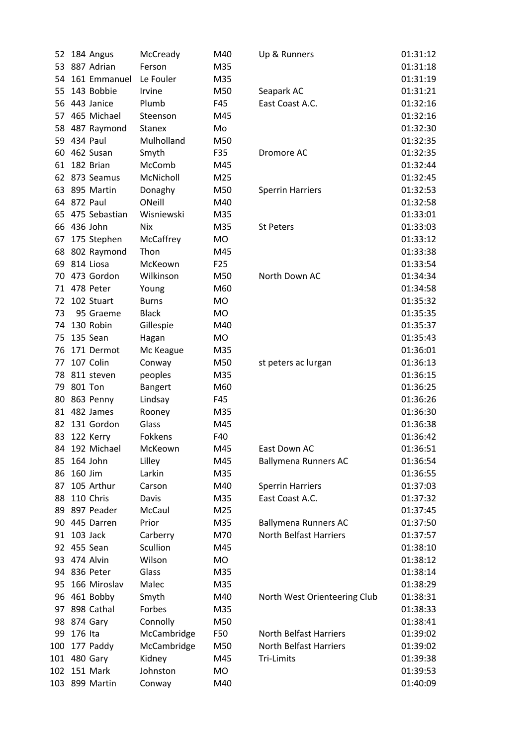| 52  | 184 Angus     | McCready      | M40             | Up & Runners                 | 01:31:12 |
|-----|---------------|---------------|-----------------|------------------------------|----------|
| 53  | 887 Adrian    | Ferson        | M35             |                              | 01:31:18 |
| 54  | 161 Emmanuel  | Le Fouler     | M35             |                              | 01:31:19 |
| 55  | 143 Bobbie    | Irvine        | M50             | Seapark AC                   | 01:31:21 |
| 56  | 443 Janice    | Plumb         | F45             | East Coast A.C.              | 01:32:16 |
| 57  | 465 Michael   | Steenson      | M45             |                              | 01:32:16 |
| 58  | 487 Raymond   | <b>Stanex</b> | Mo              |                              | 01:32:30 |
| 59  | 434 Paul      | Mulholland    | M50             |                              | 01:32:35 |
| 60  | 462 Susan     | Smyth         | F35             | Dromore AC                   | 01:32:35 |
| 61  | 182 Brian     | McComb        | M45             |                              | 01:32:44 |
| 62  | 873 Seamus    | McNicholl     | M25             |                              | 01:32:45 |
| 63  | 895 Martin    | Donaghy       | M50             | <b>Sperrin Harriers</b>      | 01:32:53 |
| 64  | 872 Paul      | ONeill        | M40             |                              | 01:32:58 |
| 65  | 475 Sebastian | Wisniewski    | M35             |                              | 01:33:01 |
| 66  | 436 John      | <b>Nix</b>    | M35             | St Peters                    | 01:33:03 |
| 67  | 175 Stephen   | McCaffrey     | MO              |                              | 01:33:12 |
| 68  | 802 Raymond   | Thon          | M45             |                              | 01:33:38 |
| 69  | 814 Liosa     | McKeown       | F <sub>25</sub> |                              | 01:33:54 |
| 70  | 473 Gordon    | Wilkinson     | M50             | North Down AC                | 01:34:34 |
| 71  | 478 Peter     | Young         | M60             |                              | 01:34:58 |
| 72  | 102 Stuart    | <b>Burns</b>  | <b>MO</b>       |                              | 01:35:32 |
| 73  | 95 Graeme     | <b>Black</b>  | <b>MO</b>       |                              | 01:35:35 |
| 74  | 130 Robin     | Gillespie     | M40             |                              | 01:35:37 |
| 75  | 135 Sean      | Hagan         | MO              |                              | 01:35:43 |
| 76  | 171 Dermot    | Mc Keague     | M35             |                              | 01:36:01 |
| 77  | 107 Colin     | Conway        | M50             | st peters ac lurgan          | 01:36:13 |
| 78  | 811 steven    | peoples       | M35             |                              | 01:36:15 |
| 79  | 801 Ton       | Bangert       | M60             |                              | 01:36:25 |
| 80  | 863 Penny     | Lindsay       | F45             |                              | 01:36:26 |
| 81  | 482 James     | Rooney        | M35             |                              | 01:36:30 |
| 82  | 131 Gordon    | Glass         | M45             |                              | 01:36:38 |
| 83  | 122 Kerry     | Fokkens       | F40             |                              | 01:36:42 |
| 84  | 192 Michael   | McKeown       | M45             | East Down AC                 | 01:36:51 |
| 85  | 164 John      | Lilley        | M45             | <b>Ballymena Runners AC</b>  | 01:36:54 |
| 86  | 160 Jim       | Larkin        | M35             |                              | 01:36:55 |
| 87  | 105 Arthur    | Carson        | M40             | <b>Sperrin Harriers</b>      | 01:37:03 |
| 88  | 110 Chris     | Davis         | M35             | East Coast A.C.              | 01:37:32 |
| 89  | 897 Peader    | McCaul        | M25             |                              | 01:37:45 |
| 90  | 445 Darren    | Prior         | M35             | <b>Ballymena Runners AC</b>  | 01:37:50 |
| 91  | 103 Jack      | Carberry      | M70             | North Belfast Harriers       | 01:37:57 |
|     | 92 455 Sean   | Scullion      | M45             |                              | 01:38:10 |
|     | 93 474 Alvin  | Wilson        | MO              |                              | 01:38:12 |
|     | 94 836 Peter  | Glass         | M35             |                              | 01:38:14 |
| 95  | 166 Miroslav  | Malec         | M35             |                              | 01:38:29 |
| 96  | 461 Bobby     | Smyth         | M40             | North West Orienteering Club | 01:38:31 |
| 97  | 898 Cathal    | Forbes        | M35             |                              | 01:38:33 |
| 98  | 874 Gary      | Connolly      | M50             |                              | 01:38:41 |
| 99  | 176 Ita       | McCambridge   | F50             | North Belfast Harriers       | 01:39:02 |
| 100 | 177 Paddy     | McCambridge   | M50             | North Belfast Harriers       | 01:39:02 |
| 101 | 480 Gary      | Kidney        | M45             | Tri-Limits                   | 01:39:38 |
| 102 | 151 Mark      | Johnston      | MO              |                              | 01:39:53 |
| 103 | 899 Martin    | Conway        | M40             |                              | 01:40:09 |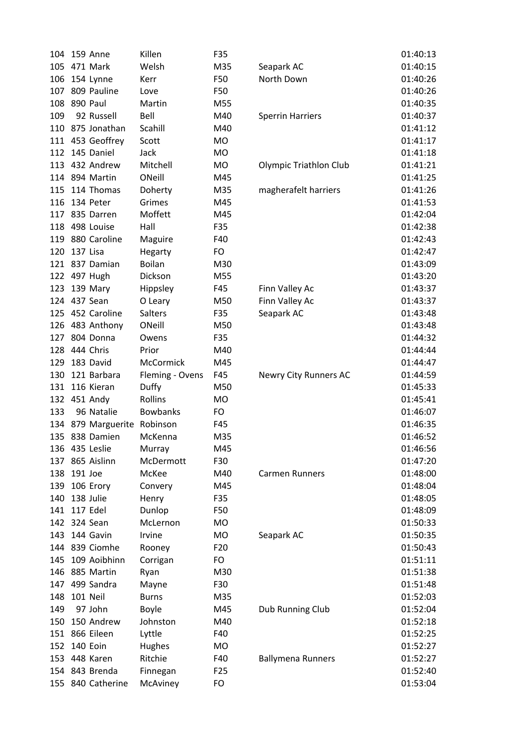| 471 Mark<br>Welsh<br>01:40:15<br>M35<br>105<br>Seapark AC<br>North Down<br>01:40:26<br>106<br>154 Lynne<br>F50<br>Kerr<br>809 Pauline<br>107<br>01:40:26<br>Love<br>F50<br>890 Paul<br>108<br>Martin<br>M55<br>01:40:35<br>109<br>92 Russell<br>Bell<br>01:40:37<br>M40<br><b>Sperrin Harriers</b><br>875 Jonathan<br>110<br>Scahill<br>01:41:12<br>M40<br>111 453 Geoffrey<br>Scott<br>01:41:17<br>MO<br>145 Daniel<br>Jack<br>112<br><b>MO</b><br>01:41:18<br>432 Andrew<br>113<br>Mitchell<br>01:41:21<br>MO<br><b>Olympic Triathlon Club</b><br>114 894 Martin<br>ONeill<br>M45<br>01:41:25<br>114 Thomas<br>M35<br>magherafelt harriers<br>01:41:26<br>115<br>Doherty<br>Grimes<br>116<br>134 Peter<br>01:41:53<br>M45<br>Moffett<br>117 835 Darren<br>M45<br>01:42:04<br>118 498 Louise<br>Hall<br>F35<br>01:42:38<br>119 880 Caroline<br>F40<br>01:42:43<br>Maguire<br>137 Lisa<br>120<br>Hegarty<br><b>FO</b><br>01:42:47<br>121 837 Damian<br><b>Boilan</b><br>M30<br>01:43:09<br>Dickson<br>122 497 Hugh<br>M55<br>01:43:20<br>139 Mary<br>Hippsley<br>F45<br>01:43:37<br>123<br>Finn Valley Ac<br>124 437 Sean<br>M50<br>Finn Valley Ac<br>01:43:37<br>O Leary<br>125 452 Caroline<br>Salters<br>F35<br>Seapark AC<br>01:43:48<br>ONeill<br>01:43:48<br>483 Anthony<br>M50<br>126<br>804 Donna<br>01:44:32<br>127<br>Owens<br>F35<br>128 444 Chris<br>Prior<br>M40<br>01:44:44<br>183 David<br>McCormick<br>M45<br>129<br>01:44:47<br>121 Barbara<br>130<br>Fleming - Ovens<br>F45<br>Newry City Runners AC<br>01:44:59<br>116 Kieran<br>131<br>Duffy<br>M50<br>01:45:33<br>451 Andy<br>Rollins<br>132<br><b>MO</b><br>01:45:41<br>96 Natalie<br><b>Bowbanks</b><br>133<br>FO<br>01:46:07<br>879 Marguerite Robinson<br>01:46:35<br>134<br>F45 |
|-----------------------------------------------------------------------------------------------------------------------------------------------------------------------------------------------------------------------------------------------------------------------------------------------------------------------------------------------------------------------------------------------------------------------------------------------------------------------------------------------------------------------------------------------------------------------------------------------------------------------------------------------------------------------------------------------------------------------------------------------------------------------------------------------------------------------------------------------------------------------------------------------------------------------------------------------------------------------------------------------------------------------------------------------------------------------------------------------------------------------------------------------------------------------------------------------------------------------------------------------------------------------------------------------------------------------------------------------------------------------------------------------------------------------------------------------------------------------------------------------------------------------------------------------------------------------------------------------------------------------------------------------------------------------------------------------------------------------------------------------------------|
|                                                                                                                                                                                                                                                                                                                                                                                                                                                                                                                                                                                                                                                                                                                                                                                                                                                                                                                                                                                                                                                                                                                                                                                                                                                                                                                                                                                                                                                                                                                                                                                                                                                                                                                                                           |
|                                                                                                                                                                                                                                                                                                                                                                                                                                                                                                                                                                                                                                                                                                                                                                                                                                                                                                                                                                                                                                                                                                                                                                                                                                                                                                                                                                                                                                                                                                                                                                                                                                                                                                                                                           |
|                                                                                                                                                                                                                                                                                                                                                                                                                                                                                                                                                                                                                                                                                                                                                                                                                                                                                                                                                                                                                                                                                                                                                                                                                                                                                                                                                                                                                                                                                                                                                                                                                                                                                                                                                           |
|                                                                                                                                                                                                                                                                                                                                                                                                                                                                                                                                                                                                                                                                                                                                                                                                                                                                                                                                                                                                                                                                                                                                                                                                                                                                                                                                                                                                                                                                                                                                                                                                                                                                                                                                                           |
|                                                                                                                                                                                                                                                                                                                                                                                                                                                                                                                                                                                                                                                                                                                                                                                                                                                                                                                                                                                                                                                                                                                                                                                                                                                                                                                                                                                                                                                                                                                                                                                                                                                                                                                                                           |
|                                                                                                                                                                                                                                                                                                                                                                                                                                                                                                                                                                                                                                                                                                                                                                                                                                                                                                                                                                                                                                                                                                                                                                                                                                                                                                                                                                                                                                                                                                                                                                                                                                                                                                                                                           |
|                                                                                                                                                                                                                                                                                                                                                                                                                                                                                                                                                                                                                                                                                                                                                                                                                                                                                                                                                                                                                                                                                                                                                                                                                                                                                                                                                                                                                                                                                                                                                                                                                                                                                                                                                           |
|                                                                                                                                                                                                                                                                                                                                                                                                                                                                                                                                                                                                                                                                                                                                                                                                                                                                                                                                                                                                                                                                                                                                                                                                                                                                                                                                                                                                                                                                                                                                                                                                                                                                                                                                                           |
|                                                                                                                                                                                                                                                                                                                                                                                                                                                                                                                                                                                                                                                                                                                                                                                                                                                                                                                                                                                                                                                                                                                                                                                                                                                                                                                                                                                                                                                                                                                                                                                                                                                                                                                                                           |
|                                                                                                                                                                                                                                                                                                                                                                                                                                                                                                                                                                                                                                                                                                                                                                                                                                                                                                                                                                                                                                                                                                                                                                                                                                                                                                                                                                                                                                                                                                                                                                                                                                                                                                                                                           |
|                                                                                                                                                                                                                                                                                                                                                                                                                                                                                                                                                                                                                                                                                                                                                                                                                                                                                                                                                                                                                                                                                                                                                                                                                                                                                                                                                                                                                                                                                                                                                                                                                                                                                                                                                           |
|                                                                                                                                                                                                                                                                                                                                                                                                                                                                                                                                                                                                                                                                                                                                                                                                                                                                                                                                                                                                                                                                                                                                                                                                                                                                                                                                                                                                                                                                                                                                                                                                                                                                                                                                                           |
|                                                                                                                                                                                                                                                                                                                                                                                                                                                                                                                                                                                                                                                                                                                                                                                                                                                                                                                                                                                                                                                                                                                                                                                                                                                                                                                                                                                                                                                                                                                                                                                                                                                                                                                                                           |
|                                                                                                                                                                                                                                                                                                                                                                                                                                                                                                                                                                                                                                                                                                                                                                                                                                                                                                                                                                                                                                                                                                                                                                                                                                                                                                                                                                                                                                                                                                                                                                                                                                                                                                                                                           |
|                                                                                                                                                                                                                                                                                                                                                                                                                                                                                                                                                                                                                                                                                                                                                                                                                                                                                                                                                                                                                                                                                                                                                                                                                                                                                                                                                                                                                                                                                                                                                                                                                                                                                                                                                           |
|                                                                                                                                                                                                                                                                                                                                                                                                                                                                                                                                                                                                                                                                                                                                                                                                                                                                                                                                                                                                                                                                                                                                                                                                                                                                                                                                                                                                                                                                                                                                                                                                                                                                                                                                                           |
|                                                                                                                                                                                                                                                                                                                                                                                                                                                                                                                                                                                                                                                                                                                                                                                                                                                                                                                                                                                                                                                                                                                                                                                                                                                                                                                                                                                                                                                                                                                                                                                                                                                                                                                                                           |
|                                                                                                                                                                                                                                                                                                                                                                                                                                                                                                                                                                                                                                                                                                                                                                                                                                                                                                                                                                                                                                                                                                                                                                                                                                                                                                                                                                                                                                                                                                                                                                                                                                                                                                                                                           |
|                                                                                                                                                                                                                                                                                                                                                                                                                                                                                                                                                                                                                                                                                                                                                                                                                                                                                                                                                                                                                                                                                                                                                                                                                                                                                                                                                                                                                                                                                                                                                                                                                                                                                                                                                           |
|                                                                                                                                                                                                                                                                                                                                                                                                                                                                                                                                                                                                                                                                                                                                                                                                                                                                                                                                                                                                                                                                                                                                                                                                                                                                                                                                                                                                                                                                                                                                                                                                                                                                                                                                                           |
|                                                                                                                                                                                                                                                                                                                                                                                                                                                                                                                                                                                                                                                                                                                                                                                                                                                                                                                                                                                                                                                                                                                                                                                                                                                                                                                                                                                                                                                                                                                                                                                                                                                                                                                                                           |
|                                                                                                                                                                                                                                                                                                                                                                                                                                                                                                                                                                                                                                                                                                                                                                                                                                                                                                                                                                                                                                                                                                                                                                                                                                                                                                                                                                                                                                                                                                                                                                                                                                                                                                                                                           |
|                                                                                                                                                                                                                                                                                                                                                                                                                                                                                                                                                                                                                                                                                                                                                                                                                                                                                                                                                                                                                                                                                                                                                                                                                                                                                                                                                                                                                                                                                                                                                                                                                                                                                                                                                           |
|                                                                                                                                                                                                                                                                                                                                                                                                                                                                                                                                                                                                                                                                                                                                                                                                                                                                                                                                                                                                                                                                                                                                                                                                                                                                                                                                                                                                                                                                                                                                                                                                                                                                                                                                                           |
|                                                                                                                                                                                                                                                                                                                                                                                                                                                                                                                                                                                                                                                                                                                                                                                                                                                                                                                                                                                                                                                                                                                                                                                                                                                                                                                                                                                                                                                                                                                                                                                                                                                                                                                                                           |
|                                                                                                                                                                                                                                                                                                                                                                                                                                                                                                                                                                                                                                                                                                                                                                                                                                                                                                                                                                                                                                                                                                                                                                                                                                                                                                                                                                                                                                                                                                                                                                                                                                                                                                                                                           |
|                                                                                                                                                                                                                                                                                                                                                                                                                                                                                                                                                                                                                                                                                                                                                                                                                                                                                                                                                                                                                                                                                                                                                                                                                                                                                                                                                                                                                                                                                                                                                                                                                                                                                                                                                           |
|                                                                                                                                                                                                                                                                                                                                                                                                                                                                                                                                                                                                                                                                                                                                                                                                                                                                                                                                                                                                                                                                                                                                                                                                                                                                                                                                                                                                                                                                                                                                                                                                                                                                                                                                                           |
|                                                                                                                                                                                                                                                                                                                                                                                                                                                                                                                                                                                                                                                                                                                                                                                                                                                                                                                                                                                                                                                                                                                                                                                                                                                                                                                                                                                                                                                                                                                                                                                                                                                                                                                                                           |
|                                                                                                                                                                                                                                                                                                                                                                                                                                                                                                                                                                                                                                                                                                                                                                                                                                                                                                                                                                                                                                                                                                                                                                                                                                                                                                                                                                                                                                                                                                                                                                                                                                                                                                                                                           |
| 135 838 Damien<br>McKenna<br>01:46:52<br>M35                                                                                                                                                                                                                                                                                                                                                                                                                                                                                                                                                                                                                                                                                                                                                                                                                                                                                                                                                                                                                                                                                                                                                                                                                                                                                                                                                                                                                                                                                                                                                                                                                                                                                                              |
| 136 435 Leslie<br>Murray<br>M45<br>01:46:56                                                                                                                                                                                                                                                                                                                                                                                                                                                                                                                                                                                                                                                                                                                                                                                                                                                                                                                                                                                                                                                                                                                                                                                                                                                                                                                                                                                                                                                                                                                                                                                                                                                                                                               |
| 865 Aislinn<br>F30<br>01:47:20<br>McDermott<br>137                                                                                                                                                                                                                                                                                                                                                                                                                                                                                                                                                                                                                                                                                                                                                                                                                                                                                                                                                                                                                                                                                                                                                                                                                                                                                                                                                                                                                                                                                                                                                                                                                                                                                                        |
| 191 Joe<br>138<br>McKee<br>M40<br>01:48:00<br><b>Carmen Runners</b>                                                                                                                                                                                                                                                                                                                                                                                                                                                                                                                                                                                                                                                                                                                                                                                                                                                                                                                                                                                                                                                                                                                                                                                                                                                                                                                                                                                                                                                                                                                                                                                                                                                                                       |
| 139 106 Erory<br>M45<br>01:48:04<br>Convery                                                                                                                                                                                                                                                                                                                                                                                                                                                                                                                                                                                                                                                                                                                                                                                                                                                                                                                                                                                                                                                                                                                                                                                                                                                                                                                                                                                                                                                                                                                                                                                                                                                                                                               |
| 138 Julie<br>140<br>Henry<br>F35<br>01:48:05                                                                                                                                                                                                                                                                                                                                                                                                                                                                                                                                                                                                                                                                                                                                                                                                                                                                                                                                                                                                                                                                                                                                                                                                                                                                                                                                                                                                                                                                                                                                                                                                                                                                                                              |
| 141 117 Edel<br>Dunlop<br>F50<br>01:48:09                                                                                                                                                                                                                                                                                                                                                                                                                                                                                                                                                                                                                                                                                                                                                                                                                                                                                                                                                                                                                                                                                                                                                                                                                                                                                                                                                                                                                                                                                                                                                                                                                                                                                                                 |
| 142 324 Sean<br>McLernon<br>MO<br>01:50:33                                                                                                                                                                                                                                                                                                                                                                                                                                                                                                                                                                                                                                                                                                                                                                                                                                                                                                                                                                                                                                                                                                                                                                                                                                                                                                                                                                                                                                                                                                                                                                                                                                                                                                                |
| 143 144 Gavin<br>Irvine<br>01:50:35<br><b>MO</b><br>Seapark AC                                                                                                                                                                                                                                                                                                                                                                                                                                                                                                                                                                                                                                                                                                                                                                                                                                                                                                                                                                                                                                                                                                                                                                                                                                                                                                                                                                                                                                                                                                                                                                                                                                                                                            |
|                                                                                                                                                                                                                                                                                                                                                                                                                                                                                                                                                                                                                                                                                                                                                                                                                                                                                                                                                                                                                                                                                                                                                                                                                                                                                                                                                                                                                                                                                                                                                                                                                                                                                                                                                           |
| 144 839 Ciomhe<br>F <sub>20</sub><br>01:50:43                                                                                                                                                                                                                                                                                                                                                                                                                                                                                                                                                                                                                                                                                                                                                                                                                                                                                                                                                                                                                                                                                                                                                                                                                                                                                                                                                                                                                                                                                                                                                                                                                                                                                                             |
| Rooney<br>109 Aoibhinn<br>Corrigan<br>FO<br>01:51:11<br>145                                                                                                                                                                                                                                                                                                                                                                                                                                                                                                                                                                                                                                                                                                                                                                                                                                                                                                                                                                                                                                                                                                                                                                                                                                                                                                                                                                                                                                                                                                                                                                                                                                                                                               |
| 146 885 Martin<br>M30<br>01:51:38                                                                                                                                                                                                                                                                                                                                                                                                                                                                                                                                                                                                                                                                                                                                                                                                                                                                                                                                                                                                                                                                                                                                                                                                                                                                                                                                                                                                                                                                                                                                                                                                                                                                                                                         |
| Ryan<br>147 499 Sandra<br>F30<br>01:51:48                                                                                                                                                                                                                                                                                                                                                                                                                                                                                                                                                                                                                                                                                                                                                                                                                                                                                                                                                                                                                                                                                                                                                                                                                                                                                                                                                                                                                                                                                                                                                                                                                                                                                                                 |
| Mayne<br>101 Neil<br>148<br><b>Burns</b><br>M35<br>01:52:03                                                                                                                                                                                                                                                                                                                                                                                                                                                                                                                                                                                                                                                                                                                                                                                                                                                                                                                                                                                                                                                                                                                                                                                                                                                                                                                                                                                                                                                                                                                                                                                                                                                                                               |
| 97 John<br>149<br>M45<br>01:52:04                                                                                                                                                                                                                                                                                                                                                                                                                                                                                                                                                                                                                                                                                                                                                                                                                                                                                                                                                                                                                                                                                                                                                                                                                                                                                                                                                                                                                                                                                                                                                                                                                                                                                                                         |
| Boyle<br>Dub Running Club<br>150 Andrew<br>150<br>Johnston<br>M40<br>01:52:18                                                                                                                                                                                                                                                                                                                                                                                                                                                                                                                                                                                                                                                                                                                                                                                                                                                                                                                                                                                                                                                                                                                                                                                                                                                                                                                                                                                                                                                                                                                                                                                                                                                                             |
| 151 866 Eileen<br>Lyttle<br>F40<br>01:52:25                                                                                                                                                                                                                                                                                                                                                                                                                                                                                                                                                                                                                                                                                                                                                                                                                                                                                                                                                                                                                                                                                                                                                                                                                                                                                                                                                                                                                                                                                                                                                                                                                                                                                                               |
| 152 140 Eoin<br>Hughes<br>MO<br>01:52:27                                                                                                                                                                                                                                                                                                                                                                                                                                                                                                                                                                                                                                                                                                                                                                                                                                                                                                                                                                                                                                                                                                                                                                                                                                                                                                                                                                                                                                                                                                                                                                                                                                                                                                                  |
| Ritchie<br>153 448 Karen<br>F40<br><b>Ballymena Runners</b><br>01:52:27                                                                                                                                                                                                                                                                                                                                                                                                                                                                                                                                                                                                                                                                                                                                                                                                                                                                                                                                                                                                                                                                                                                                                                                                                                                                                                                                                                                                                                                                                                                                                                                                                                                                                   |
| 154 843 Brenda<br>Finnegan<br>F <sub>25</sub><br>01:52:40                                                                                                                                                                                                                                                                                                                                                                                                                                                                                                                                                                                                                                                                                                                                                                                                                                                                                                                                                                                                                                                                                                                                                                                                                                                                                                                                                                                                                                                                                                                                                                                                                                                                                                 |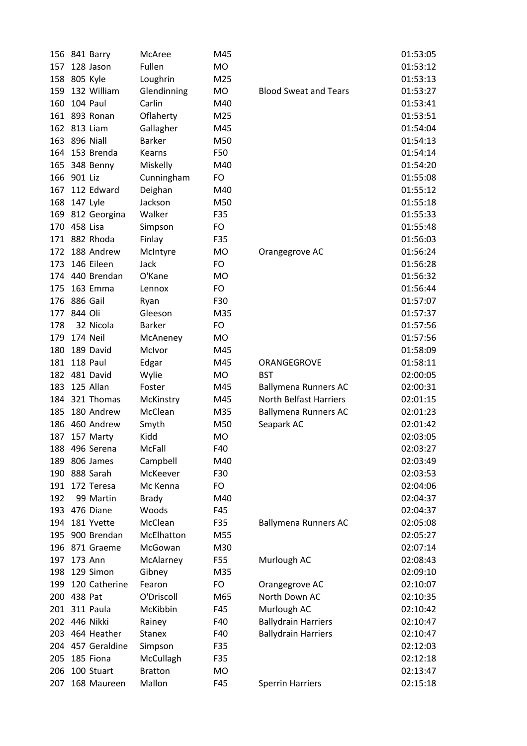|     | 156 841 Barry     | McAree         | M45       |                               | 01:53:05 |
|-----|-------------------|----------------|-----------|-------------------------------|----------|
| 157 | 128 Jason         | Fullen         | <b>MO</b> |                               | 01:53:12 |
| 158 | 805 Kyle          | Loughrin       | M25       |                               | 01:53:13 |
| 159 | 132 William       | Glendinning    | <b>MO</b> | <b>Blood Sweat and Tears</b>  | 01:53:27 |
| 160 | 104 Paul          | Carlin         | M40       |                               | 01:53:41 |
|     | 161 893 Ronan     | Oflaherty      | M25       |                               | 01:53:51 |
|     | 162 813 Liam      | Gallagher      | M45       |                               | 01:54:04 |
| 163 | 896 Niall         | <b>Barker</b>  | M50       |                               | 01:54:13 |
| 164 | 153 Brenda        | Kearns         | F50       |                               | 01:54:14 |
| 165 | 348 Benny         | Miskelly       | M40       |                               | 01:54:20 |
| 166 | 901 Liz           | Cunningham     | FO        |                               | 01:55:08 |
| 167 | 112 Edward        | Deighan        | M40       |                               | 01:55:12 |
| 168 | 147 Lyle          | Jackson        | M50       |                               | 01:55:18 |
|     | 169 812 Georgina  | Walker         | F35       |                               | 01:55:33 |
|     | 170 458 Lisa      | Simpson        | FO        |                               | 01:55:48 |
|     | 171 882 Rhoda     | Finlay         | F35       |                               | 01:56:03 |
| 172 | 188 Andrew        | McIntyre       | <b>MO</b> | Orangegrove AC                | 01:56:24 |
| 173 | 146 Eileen        | Jack           | FO        |                               | 01:56:28 |
|     | 174 440 Brendan   | O'Kane         | MO        |                               | 01:56:32 |
| 175 | 163 Emma          | Lennox         | FO        |                               | 01:56:44 |
|     | 176 886 Gail      | Ryan           | F30       |                               | 01:57:07 |
| 177 | 844 Oli           | Gleeson        | M35       |                               | 01:57:37 |
| 178 | 32 Nicola         | <b>Barker</b>  | FO        |                               | 01:57:56 |
| 179 | 174 Neil          | McAneney       | <b>MO</b> |                               | 01:57:56 |
| 180 | 189 David         | McIvor         | M45       |                               | 01:58:09 |
| 181 | 118 Paul          | Edgar          | M45       | ORANGEGROVE                   | 01:58:11 |
| 182 | 481 David         | Wylie          | MO        | <b>BST</b>                    | 02:00:05 |
| 183 | 125 Allan         | Foster         | M45       | <b>Ballymena Runners AC</b>   | 02:00:31 |
| 184 | 321 Thomas        | McKinstry      | M45       | <b>North Belfast Harriers</b> | 02:01:15 |
| 185 | 180 Andrew        | McClean        | M35       | <b>Ballymena Runners AC</b>   | 02:01:23 |
| 186 | 460 Andrew        | Smyth          | M50       | Seapark AC                    | 02:01:42 |
| 187 | 157 Marty         | Kidd           | <b>MO</b> |                               | 02:03:05 |
| 188 | 496 Serena        | McFall         | F40       |                               | 02:03:27 |
| 189 | 806 James         | Campbell       | M40       |                               | 02:03:49 |
| 190 | 888 Sarah         | McKeever       | F30       |                               | 02:03:53 |
| 191 | 172 Teresa        | Mc Kenna       | FO        |                               | 02:04:06 |
| 192 | 99 Martin         | <b>Brady</b>   | M40       |                               | 02:04:37 |
| 193 | 476 Diane         | Woods          | F45       |                               | 02:04:37 |
| 194 | 181 Yvette        | McClean        | F35       | <b>Ballymena Runners AC</b>   | 02:05:08 |
| 195 | 900 Brendan       | McElhatton     | M55       |                               | 02:05:27 |
|     | 196 871 Graeme    | McGowan        | M30       |                               | 02:07:14 |
| 197 | 173 Ann           | McAlarney      | F55       | Murlough AC                   | 02:08:43 |
| 198 | 129 Simon         | Gibney         | M35       |                               | 02:09:10 |
| 199 | 120 Catherine     | Fearon         | FO        | Orangegrove AC                | 02:10:07 |
|     | 200 438 Pat       | O'Driscoll     | M65       | North Down AC                 | 02:10:35 |
| 201 | 311 Paula         | McKibbin       | F45       | Murlough AC                   | 02:10:42 |
|     | 202 446 Nikki     | Rainey         | F40       | <b>Ballydrain Harriers</b>    | 02:10:47 |
| 203 | 464 Heather       | <b>Stanex</b>  | F40       | <b>Ballydrain Harriers</b>    | 02:10:47 |
|     | 204 457 Geraldine | Simpson        | F35       |                               | 02:12:03 |
| 205 | 185 Fiona         | McCullagh      | F35       |                               | 02:12:18 |
| 206 | 100 Stuart        | <b>Bratton</b> | <b>MO</b> |                               | 02:13:47 |
| 207 | 168 Maureen       | Mallon         | F45       | <b>Sperrin Harriers</b>       | 02:15:18 |
|     |                   |                |           |                               |          |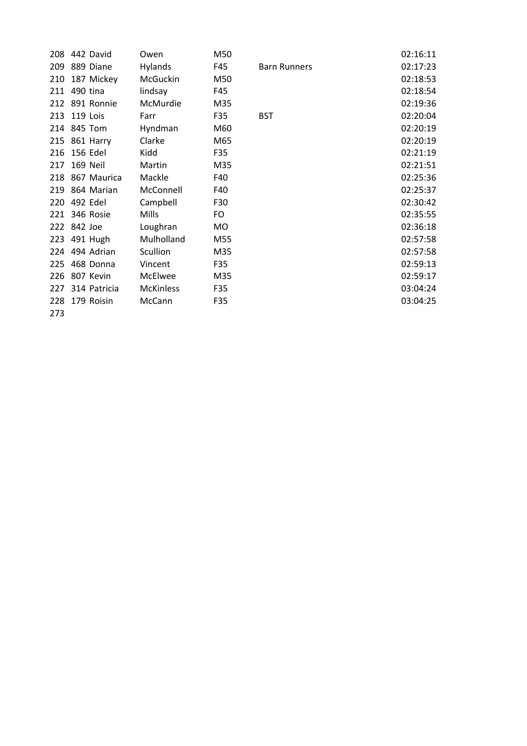|     | 208 442 David    | Owen             | M50 |                     | 02:16:11 |
|-----|------------------|------------------|-----|---------------------|----------|
|     | 209 889 Diane    | Hylands          | F45 | <b>Barn Runners</b> | 02:17:23 |
| 210 | 187 Mickey       | McGuckin         | M50 |                     | 02:18:53 |
|     | 211 490 tina     | lindsay          | F45 |                     | 02:18:54 |
|     | 212 891 Ronnie   | McMurdie         | M35 |                     | 02:19:36 |
|     | 213 119 Lois     | Farr             | F35 | <b>BST</b>          | 02:20:04 |
|     | 214 845 Tom      | Hyndman          | M60 |                     | 02:20:19 |
|     | 215 861 Harry    | Clarke           | M65 |                     | 02:20:19 |
| 216 | 156 Edel         | Kidd             | F35 |                     | 02:21:19 |
|     | 217 169 Neil     | Martin           | M35 |                     | 02:21:51 |
|     | 218 867 Maurica  | Mackle           | F40 |                     | 02:25:36 |
|     | 219 864 Marian   | McConnell        | F40 |                     | 02:25:37 |
| 220 | 492 Edel         | Campbell         | F30 |                     | 02:30:42 |
|     | 221 346 Rosie    | <b>Mills</b>     | FO  |                     | 02:35:55 |
|     | 222 842 Joe      | Loughran         | MO  |                     | 02:36:18 |
|     | 223 491 Hugh     | Mulholland       | M55 |                     | 02:57:58 |
|     | 224 494 Adrian   | Scullion         | M35 |                     | 02:57:58 |
|     | 225 468 Donna    | Vincent          | F35 |                     | 02:59:13 |
|     | 226 807 Kevin    | <b>McElwee</b>   | M35 |                     | 02:59:17 |
|     | 227 314 Patricia | <b>McKinless</b> | F35 |                     | 03:04:24 |
| 228 | 179 Roisin       | McCann           | F35 |                     | 03:04:25 |
| 273 |                  |                  |     |                     |          |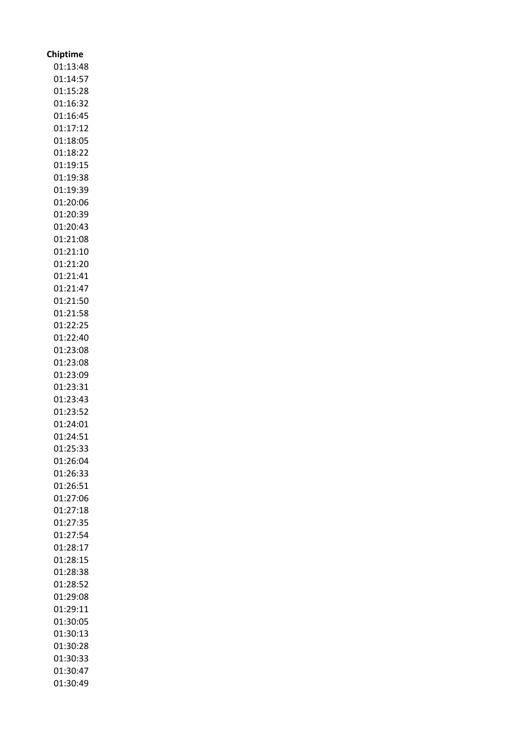| <b>Chiptime</b>      |
|----------------------|
| 01:13:48             |
| 01:14:57             |
| 01:15:28             |
| 01:16:32             |
| 01:16:45             |
| 01:17:12             |
| 01:18:05             |
| 01:18:22             |
| 01:19:15             |
| 01:19:38             |
| 01:19:39             |
| 01:20:06             |
| 01:20:39             |
| 01:20:43             |
| 01:21:08             |
| 01:21:10             |
| 01:21:20             |
| 01:21:41             |
| 01:21:47             |
| 01:21:50             |
|                      |
| 01:21:58<br>01:22:25 |
|                      |
| 01:22:40             |
| 01:23:08             |
| 01:23:08             |
| 01:23:09             |
| 01:23:31             |
| 01:23:43             |
| 01:23:52             |
| 01:24:01             |
| 01:24:51             |
| 01:25:33             |
| 01:26:04             |
| 01:26:33             |
| 01:26:51             |
| 01:27:06             |
| 01:27:18             |
| 01:27:35             |
| 01:27:54             |
| 01:28:17             |
| 01:28:15             |
| 01:28:38             |
| 01:28:52             |
| 01:29:08             |
| 01:29:11             |
| 01:30:05             |
| 01:30:13             |
| 01:30:28             |
| 01:30:33             |
| 01:30:47             |
| 01:30:49             |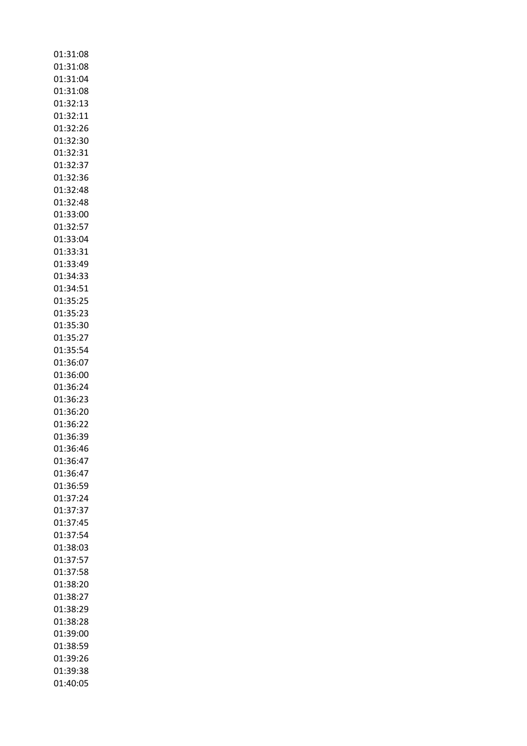| 01:31:08 |
|----------|
| 01:31:08 |
| 01:31:04 |
| 01:31:08 |
| 01:32:13 |
| 01:32:11 |
|          |
| 01:32:26 |
| 01:32:30 |
| 01:32:31 |
| 01:32:37 |
| 01:32:36 |
| 01:32:48 |
|          |
| 01:32:48 |
| 01:33:00 |
| 01:32:57 |
| 01:33:04 |
| 01:33:31 |
| 01:33:49 |
| 01:34:33 |
|          |
| 01:34:51 |
| 01:35:25 |
| 01:35:23 |
| 01:35:30 |
| 01:35:27 |
| 01:35:54 |
| 01:36:07 |
|          |
| 01:36:00 |
| 01:36:24 |
| 01:36:23 |
| 01:36:20 |
| 01:36:22 |
| 01:36:39 |
| 01:36:46 |
| 01:36:47 |
| 01:36:47 |
| 01:36:59 |
| 01:37:24 |
| 01:37:37 |
|          |
| 01:37:45 |
| 01:37:54 |
| 01:38:03 |
| 01:37:57 |
| 01:37:58 |
| 01:38:20 |
| 01:38:27 |
| 01:38:29 |
| 01:38:28 |
| 01:39:00 |
|          |
| 01:38:59 |
| 01:39:26 |
| 01:39:38 |
| 01:40:05 |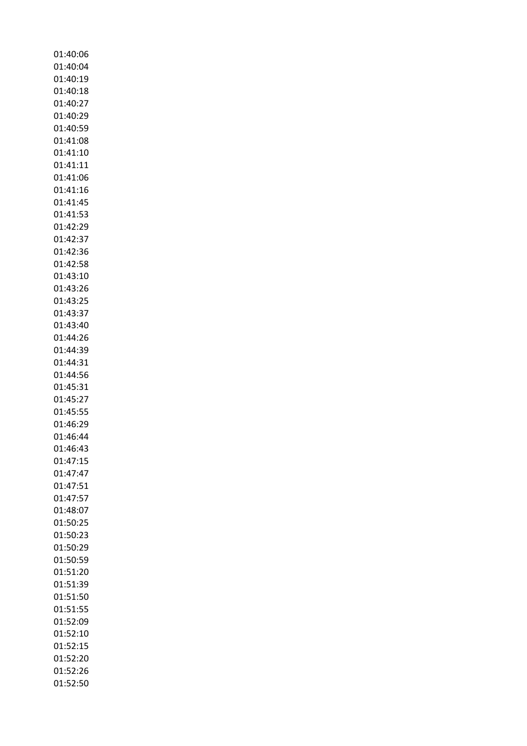01:40:06 01:40:04 01:40:19 01:40:18 01:40:27 01:40:29 01:40:59 01:41:08 01:41:10 01:41:11 01:41:06 01:41:16 01:41:45 01:41:53 01:42:29 01:42:37 01:42:36 01:42:58 01:43:10 01:43:26 01:43:25 01:43:37 01:43:40 01:44:26 01:44:39 01:44:31 01:44:56 01:45:31 01:45:27 01:45:55 01:46:29 01:46:44 01:46:43 01:47:15 01:47:47 01:47:51 01:47:57 01:48:07 01:50:25 01:50:23 01:50:29 01:50:59 01:51:20 01:51:39 01:51:50 01:51:55 01:52:09 01:52:10 01:52:15 01:52:20 01:52:26 01:52:50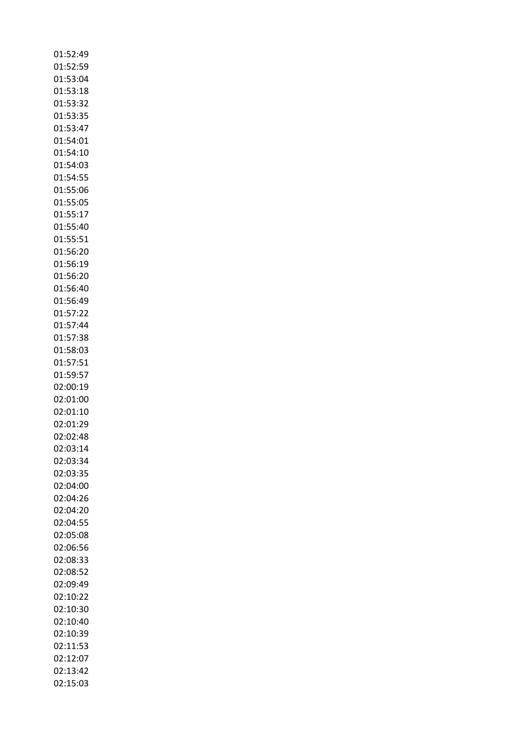| 01:52:49 |
|----------|
| 01:52:59 |
| 01:53:04 |
| 01:53:18 |
| 01:53:32 |
| 01:53:35 |
| 01:53:47 |
| 01:54:01 |
|          |
| 01:54:10 |
| 01:54:03 |
| 01:54:55 |
| 01:55:06 |
| 01:55:05 |
| 01:55:17 |
| 01:55:40 |
| 01:55:51 |
| 01:56:20 |
| 01:56:19 |
| 01:56:20 |
| 01:56:40 |
| 01:56:49 |
|          |
| 01:57:22 |
| 01:57:44 |
| 01:57:38 |
| 01:58:03 |
| 01:57:51 |
| 01:59:57 |
| 02:00:19 |
| 02:01:00 |
| 02:01:10 |
| 02:01:29 |
| 02:02:48 |
| 02:03:14 |
| 02:03:34 |
|          |
| 02:03:35 |
| 02:04:00 |
| 02:04:26 |
| 02:04:20 |
| 02:04:55 |
| 02:05:08 |
| 02:06:56 |
| 02:08:33 |
| 02:08:52 |
| 02:09:49 |
| 02:10:22 |
| 02:10:30 |
| 02:10:40 |
| 02:10:39 |
|          |
| 02:11:53 |
| 02:12:07 |
| 02:13:42 |
| 02:15:03 |